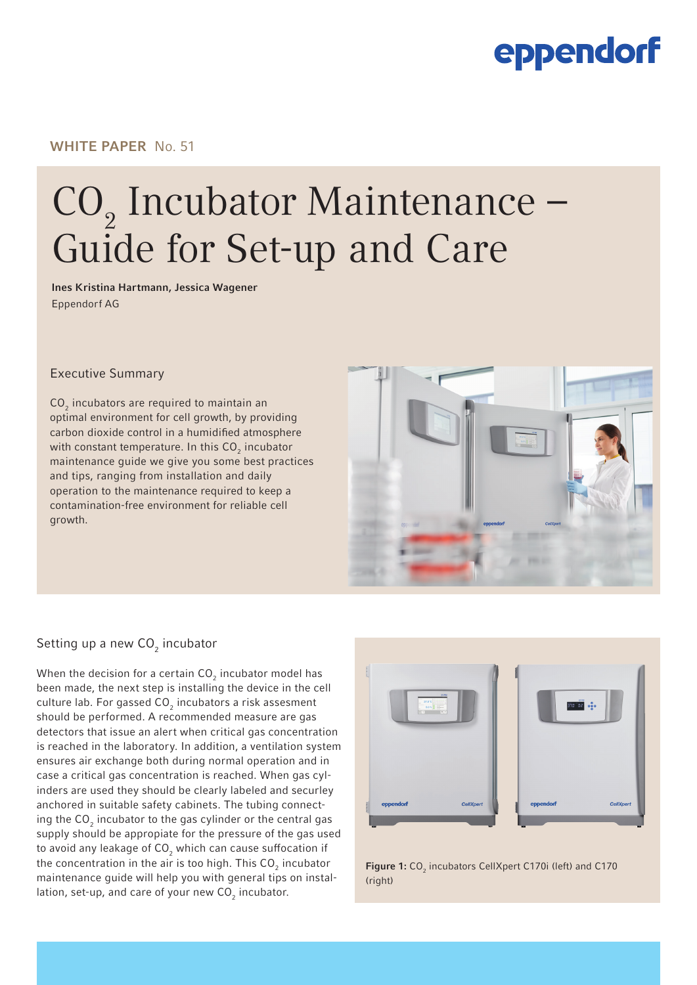### WHITE PAPER No. 51

## $CO<sub>2</sub>$  Incubator Maintenance – Guide for Set-up and Care

Ines Kristina Hartmann, Jessica Wagener Eppendorf AG

#### Executive Summary

 $CO<sub>2</sub>$  incubators are required to maintain an optimal environment for cell growth, by providing carbon dioxide control in a humidified atmosphere with constant temperature. In this CO<sub>2</sub> incubator maintenance guide we give you some best practices and tips, ranging from installation and daily operation to the maintenance required to keep a contamination-free environment for reliable cell growth.



### Setting up a new CO $_2$  incubator

When the decision for a certain CO $_2$  incubator model has been made, the next step is installing the device in the cell culture lab. For gassed CO $_2$  incubators a risk assesment should be performed. A recommended measure are gas detectors that issue an alert when critical gas concentration is reached in the laboratory. In addition, a ventilation system ensures air exchange both during normal operation and in case a critical gas concentration is reached. When gas cylinders are used they should be clearly labeled and securley anchored in suitable safety cabinets. The tubing connecting the CO $_2$  incubator to the gas cylinder or the central gas supply should be appropiate for the pressure of the gas used to avoid any leakage of CO $_{\rm 2}$  which can cause suffocation if the concentration in the air is too high. This CO $_{\rm 2}$  incubator maintenance guide will help you with general tips on installation, set-up, and care of your new CO $_2$  incubator.



**Figure 1:**  $CO<sub>2</sub>$  incubators CellXpert C170i (left) and C170 [\(right\)](http://www.eppendorf.com/co2-incubators)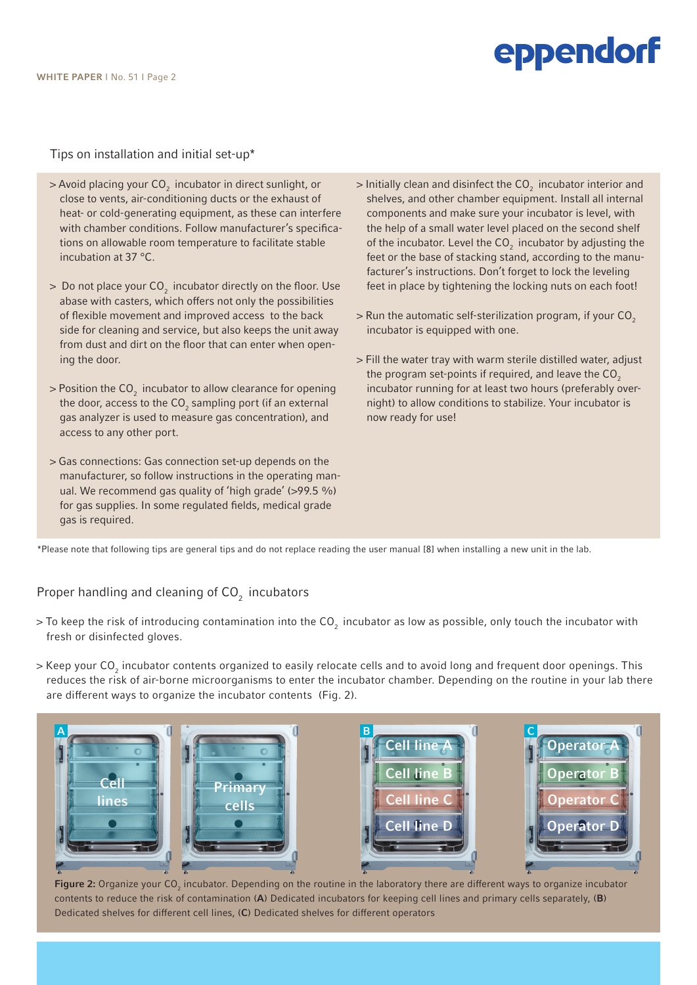Tips on installation and initial set-up\*

- $>$  Avoid placing your CO<sub>2</sub> incubator in direct sunlight, or close to vents, air-conditioning ducts or the exhaust of heat- or cold-generating equipment, as these can interfere with chamber conditions. Follow manufacturer's specifications on allowable room temperature to facilitate stable incubation at 37 °C.
- $>$  Do not place your CO<sub>2</sub> incubator directly on the floor. Use abase with casters, which offers not only the possibilities of flexible movement and improved access to the back side for cleaning and service, but also keeps the unit away from dust and dirt on the floor that can enter when opening the door.
- $>$  Position the CO<sub>2</sub> incubator to allow clearance for opening the door, access to the  $CO_2$  sampling port (if an external gas analyzer is used to measure gas concentration), and access to any other port.
- > Gas connections: Gas connection set-up depends on the manufacturer, so follow instructions in the operating manual. We recommend gas quality of 'high grade' (>99.5 %) for gas supplies. In some regulated fields, medical grade gas is required.
- $>$  Initially clean and disinfect the CO<sub>2</sub> incubator interior and shelves, and other chamber equipment. Install all internal components and make sure your incubator is level, with the help of a small water level placed on the second shelf of the incubator. Level the  $CO<sub>2</sub>$  incubator by adjusting the feet or the base of stacking stand, according to the manufacturer's instructions. Don't forget to lock the leveling feet in place by tightening the locking nuts on each foot!
- $>$  Run the automatic self-sterilization program, if your CO<sub>2</sub> incubator is equipped with one.
- > Fill the water tray with warm sterile distilled water, adjust the program set-points if required, and leave the  $CO<sub>2</sub>$ incubator running for at least two hours (preferably overnight) to allow conditions to stabilize. Your incubator is now ready for use!

\*Please note that following tips are general tips and do not replace reading the user manual [8] when installing a new unit in the lab.

### Proper handling and cleaning of  $CO<sub>2</sub>$  incubators

- > To keep the risk of introducing contamination into the CO<sub>2</sub> incubator as low as possible, only touch the incubator with fresh or disinfected gloves.
- > Keep your CO $_2$  incubator contents organized to easily relocate cells and to avoid long and frequent door openings. This reduces the risk of air-borne microorganisms to enter the incubator chamber. Depending on the routine in your lab there are different ways to organize the incubator contents (Fig. 2).



**Figure 2:** Organize your CO<sub>2</sub> incubator. Depending on the routine in the laboratory there are different ways to organize incubator contents to reduce the risk of contamination (A) Dedicated incubators for keeping cell lines and primary cells separately, (B) Dedicated shelves for different cell lines, (C) Dedicated shelves for different operators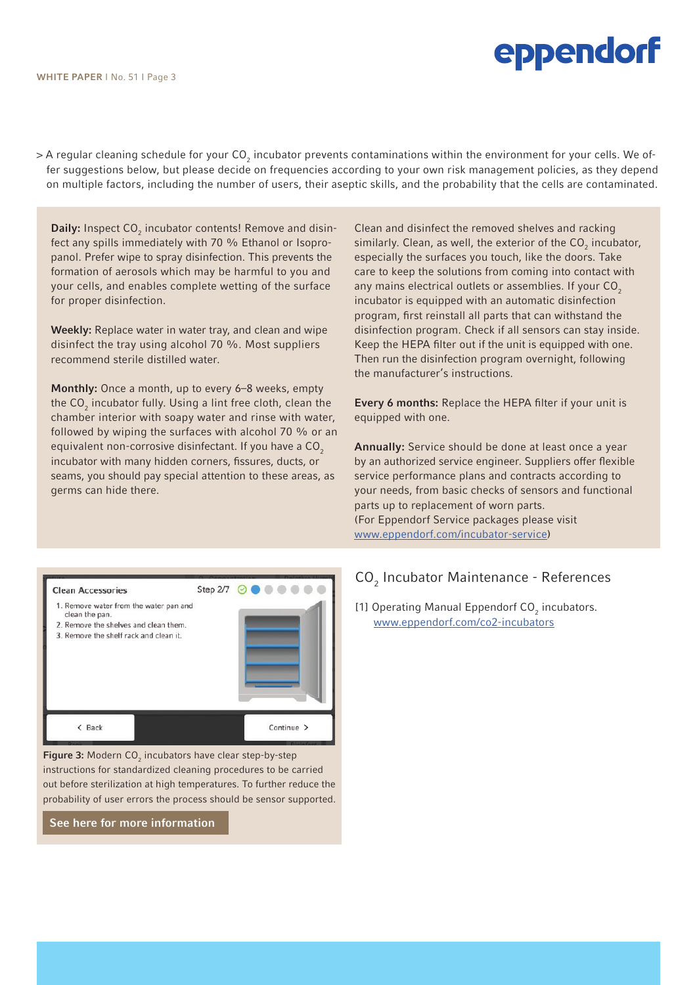> A regular cleaning schedule for your CO<sub>2</sub> incubator prevents contaminations within the environment for your cells. We offer suggestions below, but please decide on frequencies according to your own risk management policies, as they depend on multiple factors, including the number of users, their aseptic skills, and the probability that the cells are contaminated.

**Daily:** Inspect  $CO<sub>2</sub>$  incubator contents! Remove and disinfect any spills immediately with 70 % Ethanol or Isopropanol. Prefer wipe to spray disinfection. This prevents the formation of aerosols which may be harmful to you and your cells, and enables complete wetting of the surface for proper disinfection.

Weekly: Replace water in water tray, and clean and wipe disinfect the tray using alcohol 70 %. Most suppliers recommend sterile distilled water.

Monthly: Once a month, up to every 6–8 weeks, empty the CO $_2$  incubator fully. Using a lint free cloth, clean the chamber interior with soapy water and rinse with water, followed by wiping the surfaces with alcohol 70 % or an equivalent non-corrosive disinfectant. If you have a CO<sub>2</sub> incubator with many hidden corners, fissures, ducts, or seams, you should pay special attention to these areas, as germs can hide there.

Clean and disinfect the removed shelves and racking similarly. Clean, as well, the exterior of the  $\mathsf{CO}_2$  incubator, especially the surfaces you touch, like the doors. Take care to keep the solutions from coming into contact with any mains electrical outlets or assemblies. If your  $CO<sub>2</sub>$ incubator is equipped with an automatic disinfection program, first reinstall all parts that can withstand the disinfection program. Check if all sensors can stay inside. Keep the HEPA filter out if the unit is equipped with one. Then run the disinfection program overnight, following the manufacturer's instructions.

Every 6 months: Replace the HEPA filter if your unit is equipped with one.

Annually: Service should be done at least once a year by an authorized service engineer. Suppliers offer flexible service performance plans and contracts according to your needs, from basic checks of sensors and functional parts up to replacement of worn parts. (For Eppendorf Service packages please visit [www.eppendorf.com/incubator-service\)](http://www.eppendorf.com/incubator-service)

### CO<sub>2</sub> Incubator Maintenance - References

[1] Operating Manual Eppendorf  $CO<sub>2</sub>$  incubators. [www.eppendorf.com/co2-incubators](http://www.eppendorf.com/co2-incubators)



**Figure 3:** Modern  $CO<sub>2</sub>$  incubators have clear step-by-step instructions for standardized cleaning procedures to be carried out before sterilization at high temperatures. To further reduce the probability of user errors the process should be sensor supported.

[See here for more information](http://eppendorf.com/c170i)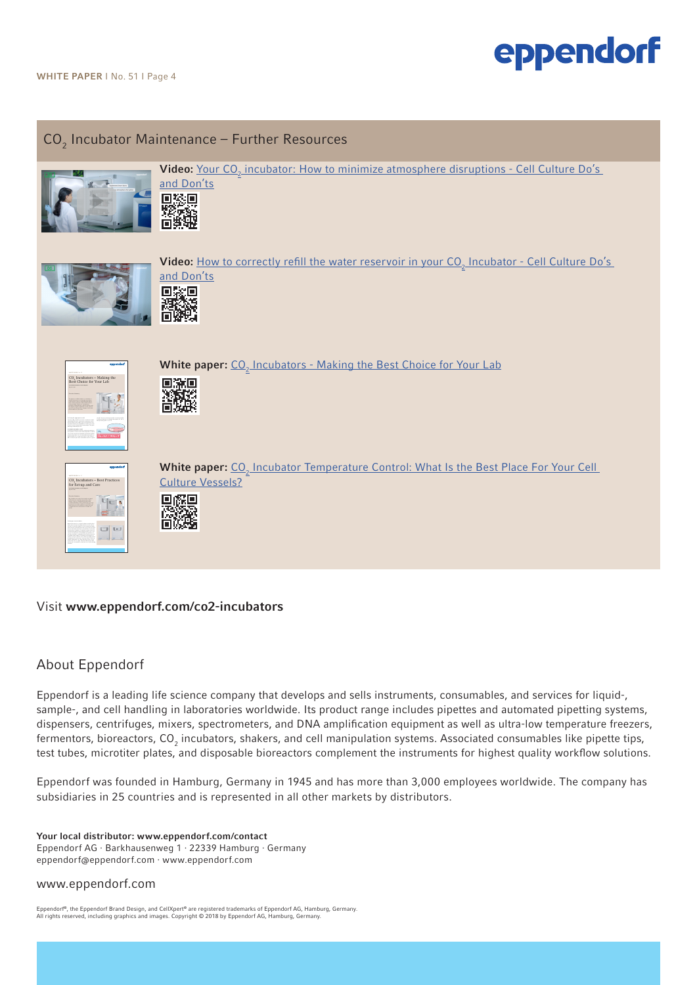## $\mathsf{CO}_2$  Incubator Maintenance – Further Resources





**Video:** <u>Your CO<sub>2</sub> [incubator: How to minimize atmosphere disruptions - Cell Culture Do's](https://bit.ly/3h8QEhE) </u>





**Video:** <u>How to correctly refill the water reservoir in your CO<sub>2</sub> Incubator - Cell Culture Do's </u> [and Don'ts](https://bit.ly/31zbFwx) 回家回



**White paper:**  $\underline{\text{CO}}_2$  [Incubators - Making the Best Choice for Your Lab](http://bit.ly/3aH2DAi)

¥О



White paper: CO<sub>2</sub> Incubator Temperature Control: What Is the Best Place For Your Cell [Culture Vessels?](https://bit.ly/2IZ4siL)

#### Visit www.eppendorf.com/co2-incubators

### About Eppendorf

Eppendorf is a leading life science company that develops and sells instruments, consumables, and services for liquid-, sample-, and cell handling in laboratories worldwide. Its product range includes pipettes and automated pipetting systems, dispensers, centrifuges, mixers, spectrometers, and DNA amplification equipment as well as ultra-low temperature freezers, fermentors, bioreactors, CO<sub>2</sub> incubators, shakers, and cell manipulation systems. Associated consumables like pipette tips, test tubes, microtiter plates, and disposable bioreactors complement the instruments for highest quality workflow solutions.

Eppendorf was founded in Hamburg, Germany in 1945 and has more than 3,000 employees worldwide. The company has subsidiaries in 25 countries and is represented in all other markets by distributors.

Your local distributor: www.eppendorf.com/contact Eppendorf AG · Barkhausenweg 1 · 22339 Hamburg · Germany eppendorf@eppendorf.com · www.eppendorf.com

#### www.eppendorf.com

Eppendorf®, the Eppendorf Brand Design, and CellXpert® are registered trademarks of Eppendorf AG, Hamburg, Germany.<br>All rights reserved, including graphics and images. Copyright © 2018 by Eppendorf AG, Hamburg, Germany.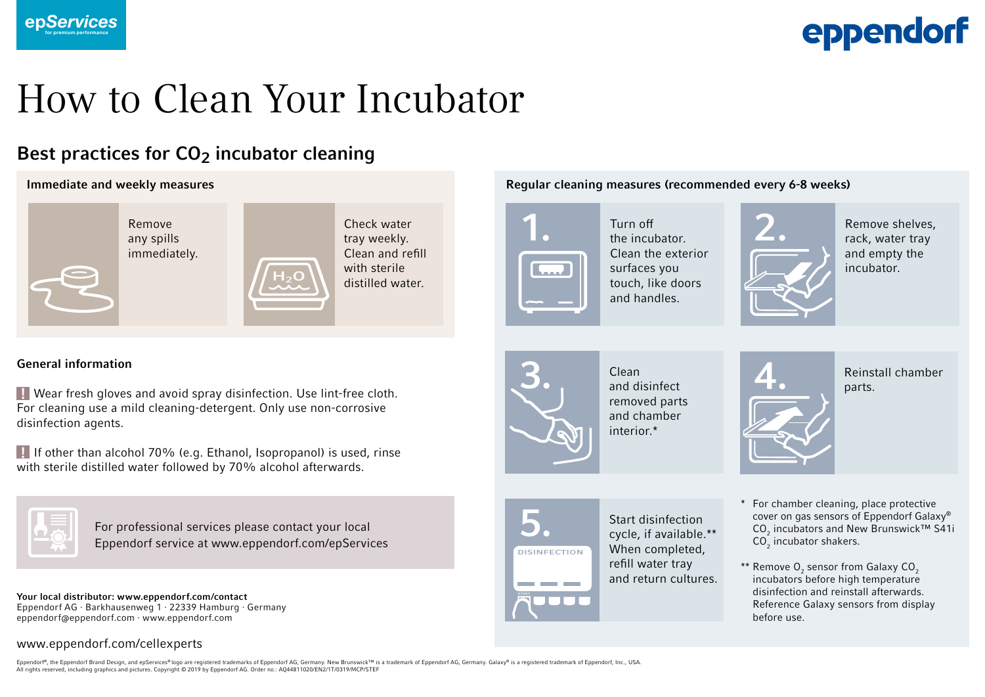

## How to Clean Your Incubator

## Best practices for  $CO<sub>2</sub>$  incubator cleaning



### General information

 Wear fresh gloves and avoid spray disinfection. Use lint-free cloth. ! For cleaning use a mild cleaning-detergent. Only use non-corrosive disinfection agents.

 If other than alcohol 70% (e.g. Ethanol, Isopropanol) is used, rinse ! with sterile distilled water followed by 70% alcohol afterwards.



For professional services please contact your local Eppendorf service at www.eppendorf.com/epServices

Your local distributor: www.eppendorf.com/contact Eppendorf AG · Barkhausenweg 1 · 22339 Hamburg · Germany eppendorf@eppendorf.com · www.eppendorf.com

### www.eppendorf.com/cellexperts

Eppendorf®, the Eppendorf Brand Design, and epServices® logo are registered trademarks of Eppendorf AG, Germany, New Brunswick™ is a trademark of Eppendorf AG, Germany, Galaxy® is a registered trademark of Eppendorf, Inc. All rights reserved, including graphics and pictures. Copyright © 2019 by Eppendorf AG. Order no.: AQ44811020/EN2/1T/0319/MCP/STEF





and chamber interior.\*





Start disinfection cycle, if available.\*\* When completed, refill water tray and return cultures.

- \* For chamber cleaning, place protective cover on gas sensors of Eppendorf Galaxy®  $CO<sub>2</sub>$  incubators and New Brunswick™ S41i  $CO<sub>2</sub>$  incubator shakers.
- \*\* Remove  $\mathsf{O}_2$  sensor from Galaxy CO<sub>2</sub> incubators before high temperature disinfection and reinstall afterwards. Reference Galaxy sensors from display before use.